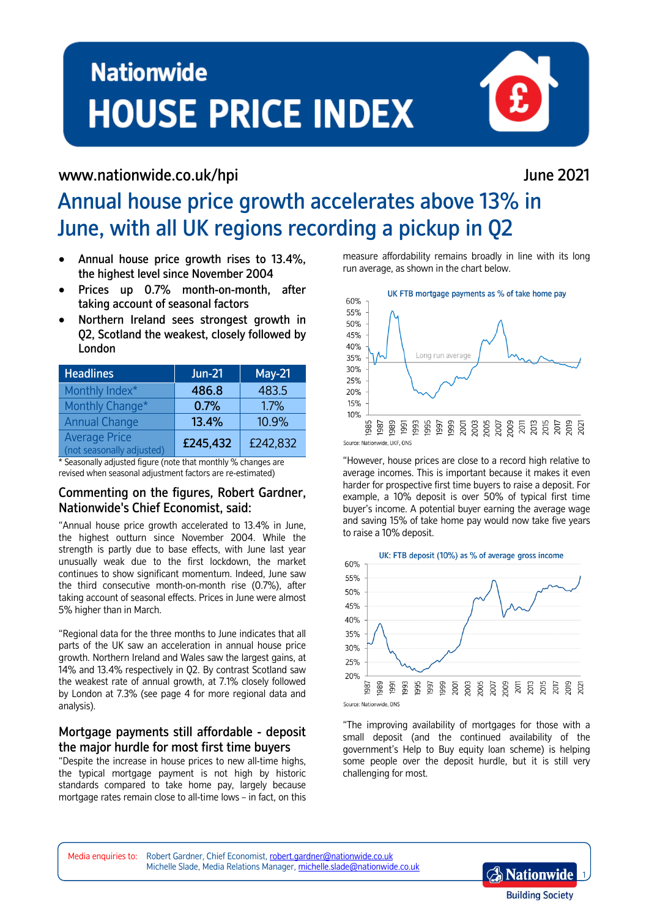# **Nationwide HOUSE PRICE INDEX**

Annual house price growth accelerates above 13% in

## [www.nationwide.co.uk/hpi](http://www.nationwide.co.uk/hpi/) June 2021

June, with all UK regions recording a pickup in Q2

- Annual house price growth rises to 13.4%, the highest level since November 2004
- Prices up 0.7% month-on-month, after taking account of seasonal factors
- Northern Ireland sees strongest growth in Q2, Scotland the weakest, closely followed by London

| <b>Headlines</b>                                  | <b>Jun-21</b> | <b>May-21</b> |
|---------------------------------------------------|---------------|---------------|
| Monthly Index*                                    | 486.8         | 483.5         |
| Monthly Change*                                   | 0.7%          | 1.7%          |
| <b>Annual Change</b>                              | 13.4%         | 10.9%         |
| <b>Average Price</b><br>(not seasonally adjusted) | £245,432      | £242,832      |

\* Seasonally adjusted figure (note that monthly % changes are revised when seasonal adjustment factors are re-estimated)

## Commenting on the figures, Robert Gardner, Nationwide's Chief Economist, said:

"Annual house price growth accelerated to 13.4% in June, the highest outturn since November 2004. While the strength is partly due to base effects, with June last year unusually weak due to the first lockdown, the market continues to show significant momentum. Indeed, June saw the third consecutive month-on-month rise (0.7%), after taking account of seasonal effects. Prices in June were almost 5% higher than in March.

"Regional data for the three months to June indicates that all parts of the UK saw an acceleration in annual house price growth. Northern Ireland and Wales saw the largest gains, at 14% and 13.4% respectively in Q2. By contrast Scotland saw the weakest rate of annual growth, at 7.1% closely followed by London at 7.3% (see page 4 for more regional data and analysis).

## Mortgage payments still affordable - deposit the major hurdle for most first time buyers

"Despite the increase in house prices to new all-time highs, the typical mortgage payment is not high by historic standards compared to take home pay, largely because mortgage rates remain close to all-time lows – in fact, on this measure affordability remains broadly in line with its long run average, as shown in the chart below.



"However, house prices are close to a record high relative to average incomes. This is important because it makes it even harder for prospective first time buyers to raise a deposit. For example, a 10% deposit is over 50% of typical first time buyer's income. A potential buyer earning the average wage and saving 15% of take home pay would now take five years to raise a 10% deposit.



"The improving availability of mortgages for those with a small deposit (and the continued availability of the government's Help to Buy equity loan scheme) is helping some people over the deposit hurdle, but it is still very challenging for most.

Media enquiries to: Robert Gardner, Chief Economist[, robert.gardner@nationwide.co.uk](mailto:robert.gardner@nationwide.co.uk)  Michelle Slade, Media Relations Manager, [michelle.slade@nationwide.co.uk](mailto:michelle.slade@nationwide.co.uk)

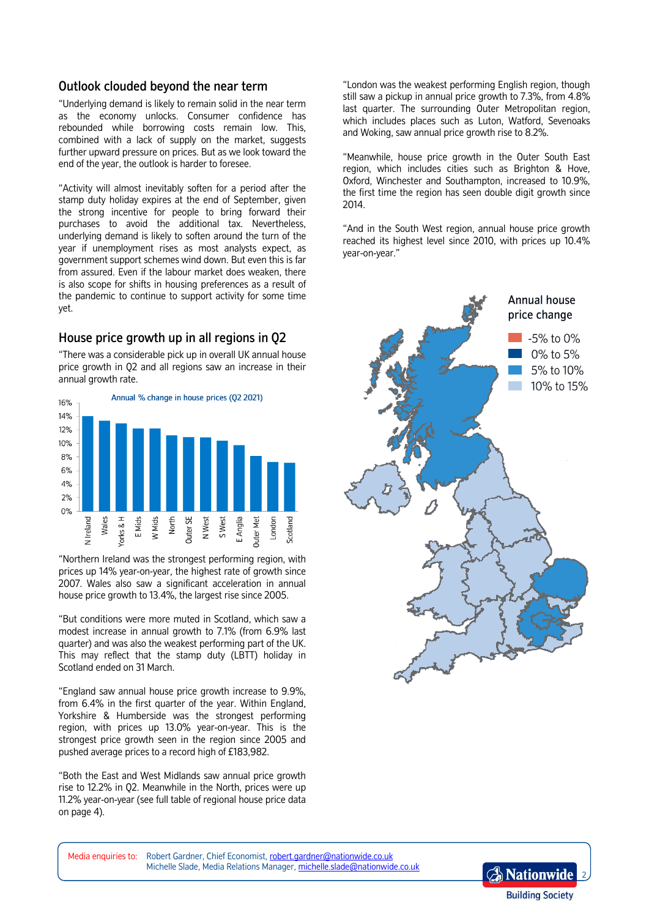## Outlook clouded beyond the near term

"Underlying demand is likely to remain solid in the near term as the economy unlocks. Consumer confidence has rebounded while borrowing costs remain low. This, combined with a lack of supply on the market, suggests further upward pressure on prices. But as we look toward the end of the year, the outlook is harder to foresee.

"Activity will almost inevitably soften for a period after the stamp duty holiday expires at the end of September, given the strong incentive for people to bring forward their purchases to avoid the additional tax. Nevertheless, underlying demand is likely to soften around the turn of the year if unemployment rises as most analysts expect, as government support schemes wind down. But even this is far from assured. Even if the labour market does weaken, there is also scope for shifts in housing preferences as a result of the pandemic to continue to support activity for some time yet.

## House price growth up in all regions in Q2

"There was a considerable pick up in overall UK annual house price growth in Q2 and all regions saw an increase in their annual growth rate.



"Northern Ireland was the strongest performing region, with prices up 14% year-on-year, the highest rate of growth since 2007. Wales also saw a significant acceleration in annual house price growth to 13.4%, the largest rise since 2005.

"But conditions were more muted in Scotland, which saw a modest increase in annual growth to 7.1% (from 6.9% last quarter) and was also the weakest performing part of the UK. This may reflect that the stamp duty (LBTT) holiday in Scotland ended on 31 March.

"England saw annual house price growth increase to 9.9%, from 6.4% in the first quarter of the year. Within England, Yorkshire & Humberside was the strongest performing region, with prices up 13.0% year-on-year. This is the strongest price growth seen in the region since 2005 and pushed average prices to a record high of £183,982.

"Both the East and West Midlands saw annual price growth rise to 12.2% in Q2. Meanwhile in the North, prices were up 11.2% year-on-year (see full table of regional house price data on page 4).

"London was the weakest performing English region, though still saw a pickup in annual price growth to 7.3%, from 4.8% last quarter. The surrounding Outer Metropolitan region, which includes places such as Luton, Watford, Sevenoaks and Woking, saw annual price growth rise to 8.2%.

"Meanwhile, house price growth in the Outer South East region, which includes cities such as Brighton & Hove, Oxford, Winchester and Southampton, increased to 10.9%, the first time the region has seen double digit growth since 2014.

"And in the South West region, annual house price growth reached its highest level since 2010, with prices up 10.4% year-on-year."



Media enquiries to: Robert Gardner, Chief Economist[, robert.gardner@nationwide.co.uk](mailto:robert.gardner@nationwide.co.uk)  Michelle Slade, Media Relations Manager, [michelle.slade@nationwide.co.uk](mailto:michelle.slade@nationwide.co.uk)

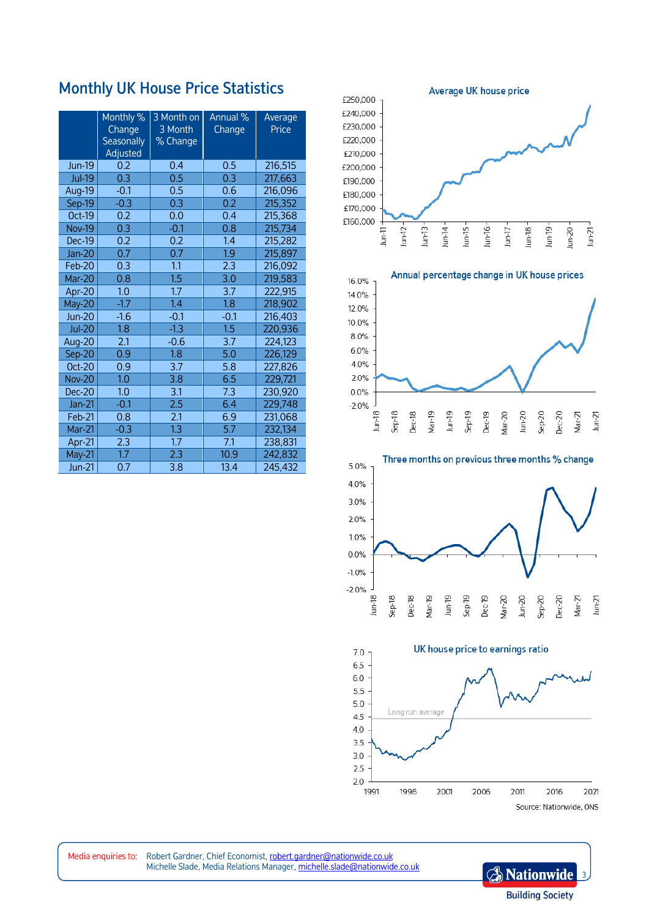## Monthly UK House Price Statistics

|               | Monthly %<br>Change<br><b>Seasonally</b><br>Adjusted | 3 Month on<br>3 Month<br>% Change | Annual %<br>Change | Average<br>Price |
|---------------|------------------------------------------------------|-----------------------------------|--------------------|------------------|
| <b>Jun-19</b> | 0.2                                                  | 0.4                               | 0.5                | 216,515          |
| <b>Jul-19</b> | 0.3                                                  | 0.5                               | 0.3                | 217,663          |
| Aug-19        | $-0.1$                                               | 0.5                               | 0.6                | 216,096          |
| Sep-19        | $-0.3$                                               | 0.3                               | 0.2                | 215,352          |
| Oct-19        | 0.2                                                  | 0.0                               | 0.4                | 215,368          |
| <b>Nov-19</b> | 0.3                                                  | $-0.1$                            | 0.8                | 215,734          |
| <b>Dec-19</b> | 0.2                                                  | 0.2                               | 1.4                | 215,282          |
| $Jan-20$      | 0.7                                                  | 0.7                               | 1.9                | 215,897          |
| Feb-20        | 0.3                                                  | 1.1                               | 2.3                | 216,092          |
| Mar-20        | 0.8                                                  | 1.5                               | 3.0                | 219,583          |
| Apr-20        | 1.0                                                  | 1.7                               | 3.7                | 222,915          |
| May-20        | $-1.7$                                               | 1.4                               | 1.8                | 218,902          |
| <b>Jun-20</b> | $-1.6$                                               | $-0.1$                            | $-0.1$             | 216,403          |
| <b>Jul-20</b> | 1.8                                                  | $-1.3$                            | 1.5                | 220,936          |
| Aug-20        | 2.1                                                  | $-0.6$                            | 3.7                | 224,123          |
| Sep-20        | 0.9                                                  | 1.8                               | 5.0                | 226,129          |
| <b>Oct-20</b> | 0.9                                                  | 3.7                               | 5.8                | 227,826          |
| <b>Nov-20</b> | 1.0                                                  | 3.8                               | 6.5                | 229,721          |
| Dec-20        | 1.0                                                  | 3.1                               | 7.3                | 230,920          |
| $Jan-21$      | $-0.1$                                               | $\overline{2.5}$                  | 6.4                | 229,748          |
| Feb-21        | 0.8                                                  | 2.1                               | 6.9                | 231,068          |
| Mar-21        | $-0.3$                                               | 1.3                               | 5.7                | 232,134          |
| Apr-21        | 2.3                                                  | 1.7                               | 7.1                | 238,831          |
| May-21        | 1.7                                                  | 2.3                               | 10.9               | 242,832          |
| <b>Jun-21</b> | 0.7                                                  | 3.8                               | 13.4               | 245,432          |









Media enquiries to: Robert Gardner, Chief Economist, robert.gardner@nationwide.co.uk Michelle Slade, Media Relations Manager, [michelle.slade@nationwide.co.uk](mailto:michelle.slade@nationwide.co.uk)

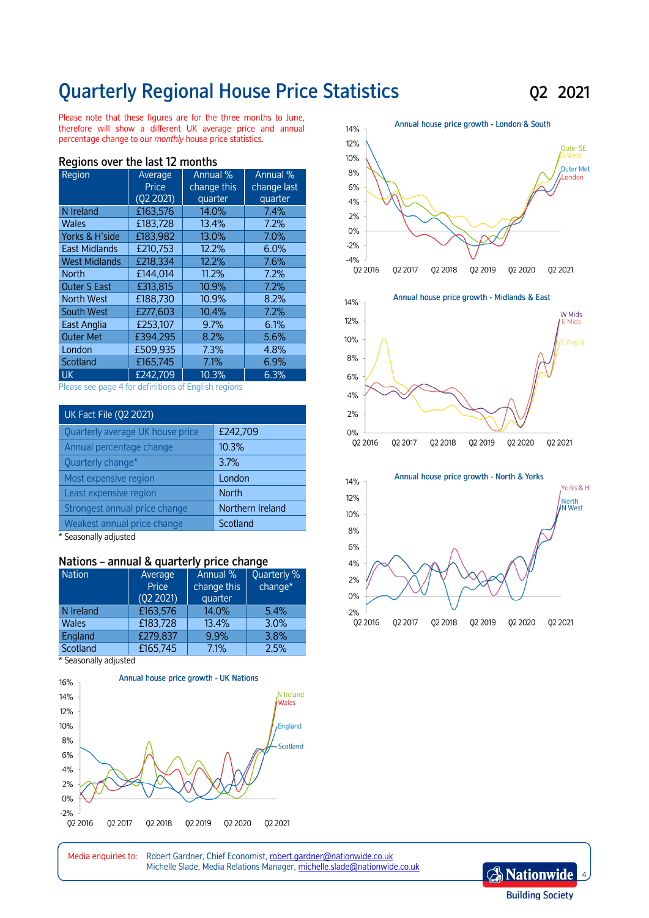## Quarterly Regional House Price Statistics Q2 2021

Please note that these figures are for the three months to June, therefore will show a different UK average price and annual percentage change to our *monthly* house price statistics.

| בווטוונווא טיכו נווכ ומאג וב וווטוונווא |           |             |             |  |
|-----------------------------------------|-----------|-------------|-------------|--|
| Region                                  | Average   | Annual %    | Annual %    |  |
|                                         | Price     | change this | change last |  |
|                                         | (Q2 2021) | quarter     | quarter     |  |
| N Ireland                               | £163,576  | 14.0%       | 7.4%        |  |
| <b>Wales</b>                            | £183,728  | 13.4%       | 7.2%        |  |
| Yorks & H'side                          | £183,982  | 13.0%       | 7.0%        |  |
| <b>East Midlands</b>                    | £210.753  | 12.2%       | 6.0%        |  |
| <b>West Midlands</b>                    | £218,334  | 12.2%       | 7.6%        |  |
| <b>North</b>                            | £144,014  | 11.2%       | 7.2%        |  |
| <b>Outer S East</b>                     | £313,815  | 10.9%       | 7.2%        |  |
| <b>North West</b>                       | £188.730  | 10.9%       | 8.2%        |  |
| South West                              | £277,603  | 10.4%       | 7.2%        |  |
| East Anglia                             | £253.107  | 9.7%        | 6.1%        |  |
| <b>Outer Met</b>                        | £394.295  | 8.2%        | 5.6%        |  |
| London                                  | £509,935  | 7.3%        | 4.8%        |  |
| Scotland                                | £165,745  | 7.1%        | 6.9%        |  |
| <b>UK</b>                               | £242,709  | 10.3%       | 6.3%        |  |

### Regions over the last 12 months

Please see page 4 for definitions of English regions

| UK Fact File (Q2 2021)           |                  |  |
|----------------------------------|------------------|--|
| Quarterly average UK house price | £242,709         |  |
| Annual percentage change         | 10.3%            |  |
| Quarterly change*                | 3.7%             |  |
| Most expensive region            | London           |  |
| Least expensive region           | <b>North</b>     |  |
| Strongest annual price change    | Northern Ireland |  |
| Weakest annual price change      | Scotland         |  |

\* Seasonally adjusted

#### Nations – annual & quarterly price change

| <b>Nation</b> | Average   | Annual %    | Quarterly % |
|---------------|-----------|-------------|-------------|
|               | Price     | change this | change*     |
|               | (02 2021) | quarter     |             |
| N Ireland     | £163,576  | 14.0%       | 5.4%        |
| <b>Wales</b>  | £183,728  | 13.4%       | 3.0%        |
| England       | £279,837  | 9.9%        | 3.8%        |
| Scotland      | £165,745  | 7.1%        | 2.5%        |

\* Seasonally adjusted





Media enquiries to: Robert Gardner, Chief Economist, robert.gardner@nationwide.co.uk Michelle Slade, Media Relations Manager, [michelle.slade@nationwide.co.uk](mailto:michelle.slade@nationwide.co.uk)

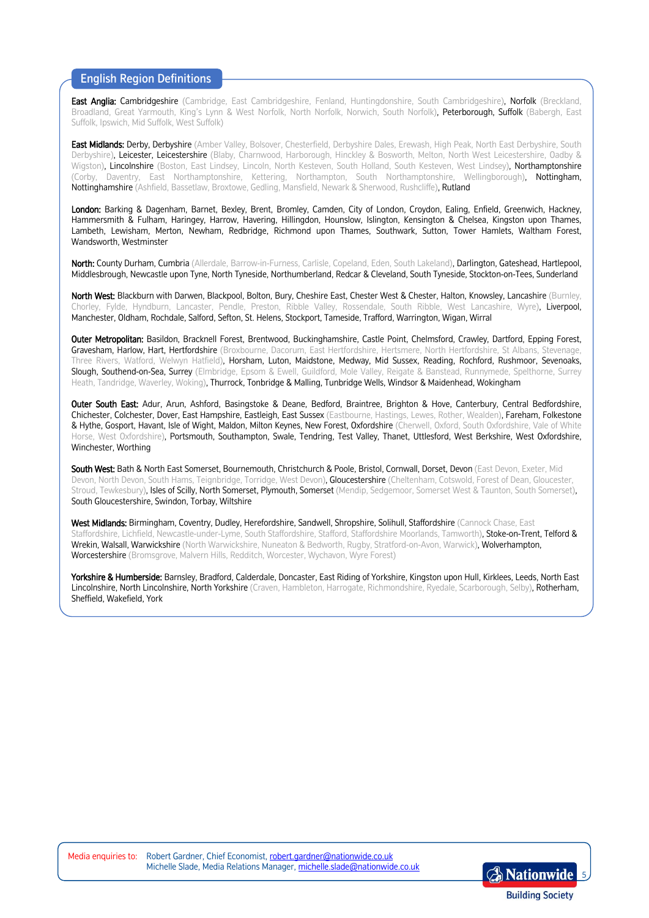## English Region Definitions

East Anglia: Cambridgeshire (Cambridge, East Cambridgeshire, Fenland, Huntingdonshire, South Cambridgeshire), Norfolk (Breckland, Broadland, Great Yarmouth, King's Lynn & West Norfolk, North Norfolk, Norwich, South Norfolk), Peterborough, Suffolk (Babergh, East Suffolk, Ipswich, Mid Suffolk, West Suffolk)

East Midlands: Derby, Derbyshire (Amber Valley, Bolsover, Chesterfield, Derbyshire Dales, Erewash, High Peak, North East Derbyshire, South Derbyshire), Leicester, Leicestershire (Blaby, Charnwood, Harborough, Hinckley & Bosworth, Melton, North West Leicestershire, Oadby & Wigston), Lincolnshire (Boston, East Lindsey, Lincoln, North Kesteven, South Holland, South Kesteven, West Lindsey), Northamptonshire (Corby, Daventry, East Northamptonshire, Kettering, Northampton, South Northamptonshire, Wellingborough), Nottingham, Nottinghamshire (Ashfield, Bassetlaw, Broxtowe, Gedling, Mansfield, Newark & Sherwood, Rushcliffe), Rutland

London: Barking & Dagenham, Barnet, Bexley, Brent, Bromley, Camden, City of London, Croydon, Ealing, Enfield, Greenwich, Hackney, Hammersmith & Fulham, Haringey, Harrow, Havering, Hillingdon, Hounslow, Islington, Kensington & Chelsea, Kingston upon Thames, Lambeth, Lewisham, Merton, Newham, Redbridge, Richmond upon Thames, Southwark, Sutton, Tower Hamlets, Waltham Forest, Wandsworth, Westminster

North: County Durham, Cumbria (Allerdale, Barrow-in-Furness, Carlisle, Copeland, Eden, South Lakeland), Darlington, Gateshead, Hartlepool, Middlesbrough, Newcastle upon Tyne, North Tyneside, Northumberland, Redcar & Cleveland, South Tyneside, Stockton-on-Tees, Sunderland

North West: Blackburn with Darwen, Blackpool, Bolton, Bury, Cheshire East, Chester West & Chester, Halton, Knowsley, Lancashire (Burnley, Chorley, Fylde, Hyndburn, Lancaster, Pendle, Preston, Ribble Valley, Rossendale, South Ribble, West Lancashire, Wyre), Liverpool, Manchester, Oldham, Rochdale, Salford, Sefton, St. Helens, Stockport, Tameside, Trafford, Warrington, Wigan, Wirral

Outer Metropolitan: Basildon, Bracknell Forest, Brentwood, Buckinghamshire, Castle Point, Chelmsford, Crawley, Dartford, Epping Forest, Gravesham, Harlow, Hart, Hertfordshire (Broxbourne, Dacorum, East Hertfordshire, Hertsmere, North Hertfordshire, St Albans, Stevenage, Three Rivers, Watford, Welwyn Hatfield), Horsham, Luton, Maidstone, Medway, Mid Sussex, Reading, Rochford, Rushmoor, Sevenoaks, Slough, Southend-on-Sea, Surrey (Elmbridge, Epsom & Ewell, Guildford, Mole Valley, Reigate & Banstead, Runnymede, Spelthorne, Surrey Heath, Tandridge, Waverley, Woking), Thurrock, Tonbridge & Malling, Tunbridge Wells, Windsor & Maidenhead, Wokingham

Outer South East: Adur, Arun, Ashford, Basingstoke & Deane, Bedford, Braintree, Brighton & Hove, Canterbury, Central Bedfordshire, Chichester, Colchester, Dover, East Hampshire, Eastleigh, East Sussex (Eastbourne, Hastings, Lewes, Rother, Wealden), Fareham, Folkestone & Hythe, Gosport, Havant, Isle of Wight, Maldon, Milton Keynes, New Forest, Oxfordshire (Cherwell, Oxford, South Oxfordshire, Vale of White Horse, West Oxfordshire), Portsmouth, Southampton, Swale, Tendring, Test Valley, Thanet, Uttlesford, West Berkshire, West Oxfordshire, Winchester, Worthing

South West: Bath & North East Somerset, Bournemouth, Christchurch & Poole, Bristol, Cornwall, Dorset, Devon (East Devon, Exeter, Mid Devon, North Devon, South Hams, Teignbridge, Torridge, West Devon), Gloucestershire (Cheltenham, Cotswold, Forest of Dean, Gloucester, Stroud, Tewkesbury), Isles of Scilly, North Somerset, Plymouth, Somerset (Mendip, Sedgemoor, Somerset West & Taunton, South Somerset), South Gloucestershire, Swindon, Torbay, Wiltshire

West Midlands: Birmingham, Coventry, Dudley, Herefordshire, Sandwell, Shropshire, Solihull, Staffordshire (Cannock Chase, East Staffordshire, Lichfield, Newcastle-under-Lyme, South Staffordshire, Stafford, Staffordshire Moorlands, Tamworth), Stoke-on-Trent, Telford & Wrekin, Walsall, Warwickshire (North Warwickshire, Nuneaton & Bedworth, Rugby, Stratford-on-Avon, Warwick), Wolverhampton, Worcestershire (Bromsgrove, Malvern Hills, Redditch, Worcester, Wychavon, Wyre Forest)

Yorkshire & Humberside: Barnsley, Bradford, Calderdale, Doncaster, East Riding of Yorkshire, Kingston upon Hull, Kirklees, Leeds, North East Lincolnshire, North Lincolnshire, North Yorkshire (Craven, Hambleton, Harrogate, Richmondshire, Ryedale, Scarborough, Selby), Rotherham, Sheffield, Wakefield, York